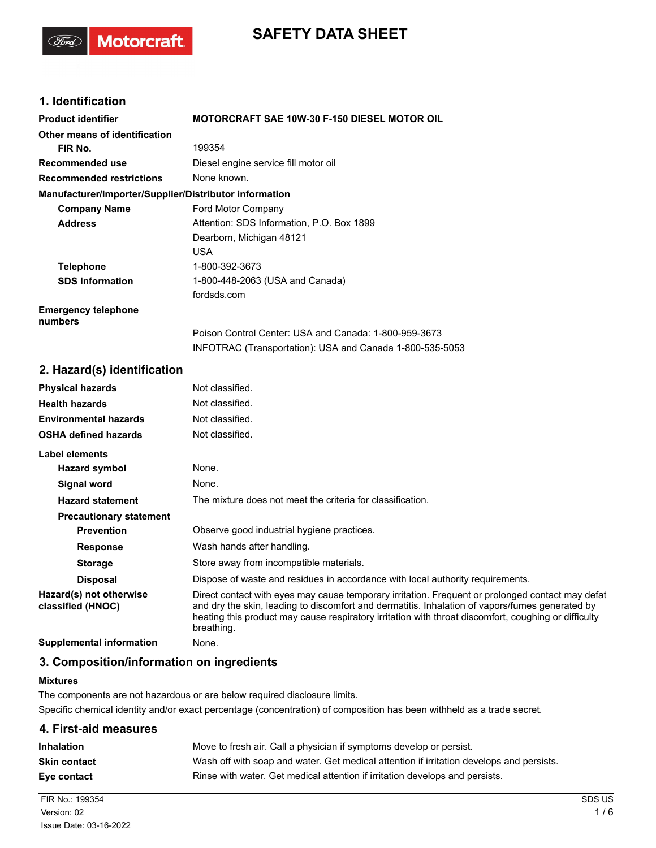# **SAFETY DATA SHEET**

## **1. Identification**

(Ford)

**Motorcraft** 

| <b>Product identifier</b>                              | <b>MOTORCRAFT SAE 10W-30 F-150 DIESEL MOTOR OIL</b>                                                               |  |  |
|--------------------------------------------------------|-------------------------------------------------------------------------------------------------------------------|--|--|
| Other means of identification                          |                                                                                                                   |  |  |
| FIR No.                                                | 199354                                                                                                            |  |  |
| Recommended use                                        | Diesel engine service fill motor oil                                                                              |  |  |
| <b>Recommended restrictions</b>                        | None known.                                                                                                       |  |  |
| Manufacturer/Importer/Supplier/Distributor information |                                                                                                                   |  |  |
| <b>Company Name</b>                                    | Ford Motor Company                                                                                                |  |  |
| <b>Address</b>                                         | Attention: SDS Information, P.O. Box 1899                                                                         |  |  |
|                                                        | Dearborn, Michigan 48121                                                                                          |  |  |
|                                                        | <b>USA</b>                                                                                                        |  |  |
| <b>Telephone</b>                                       | 1-800-392-3673                                                                                                    |  |  |
| <b>SDS Information</b>                                 | 1-800-448-2063 (USA and Canada)                                                                                   |  |  |
|                                                        | fordsds.com                                                                                                       |  |  |
| <b>Emergency telephone</b><br>numbers                  |                                                                                                                   |  |  |
|                                                        | Poison Control Center: USA and Canada: 1-800-959-3673<br>INFOTRAC (Transportation): USA and Canada 1-800-535-5053 |  |  |

#### **2. Hazard(s) identification**

| <b>Physical hazards</b>                      | Not classified.                                                                                                                                                                                                                                                                                                           |
|----------------------------------------------|---------------------------------------------------------------------------------------------------------------------------------------------------------------------------------------------------------------------------------------------------------------------------------------------------------------------------|
| <b>Health hazards</b>                        | Not classified.                                                                                                                                                                                                                                                                                                           |
| <b>Environmental hazards</b>                 | Not classified.                                                                                                                                                                                                                                                                                                           |
| <b>OSHA defined hazards</b>                  | Not classified.                                                                                                                                                                                                                                                                                                           |
| Label elements                               |                                                                                                                                                                                                                                                                                                                           |
| Hazard symbol                                | None.                                                                                                                                                                                                                                                                                                                     |
| Signal word                                  | None.                                                                                                                                                                                                                                                                                                                     |
| <b>Hazard statement</b>                      | The mixture does not meet the criteria for classification.                                                                                                                                                                                                                                                                |
| <b>Precautionary statement</b>               |                                                                                                                                                                                                                                                                                                                           |
| <b>Prevention</b>                            | Observe good industrial hygiene practices.                                                                                                                                                                                                                                                                                |
| <b>Response</b>                              | Wash hands after handling.                                                                                                                                                                                                                                                                                                |
| <b>Storage</b>                               | Store away from incompatible materials.                                                                                                                                                                                                                                                                                   |
| <b>Disposal</b>                              | Dispose of waste and residues in accordance with local authority requirements.                                                                                                                                                                                                                                            |
| Hazard(s) not otherwise<br>classified (HNOC) | Direct contact with eyes may cause temporary irritation. Frequent or prolonged contact may defat<br>and dry the skin, leading to discomfort and dermatitis. Inhalation of vapors/fumes generated by<br>heating this product may cause respiratory irritation with throat discomfort, coughing or difficulty<br>breathing. |
| <b>Supplemental information</b>              | None.                                                                                                                                                                                                                                                                                                                     |

## **3. Composition/information on ingredients**

#### **Mixtures**

The components are not hazardous or are below required disclosure limits. Specific chemical identity and/or exact percentage (concentration) of composition has been withheld as a trade secret.

| 4. First-aid measures |                                                                                          |
|-----------------------|------------------------------------------------------------------------------------------|
| Inhalation            | Move to fresh air. Call a physician if symptoms develop or persist.                      |
| Skin contact          | Wash off with soap and water. Get medical attention if irritation develops and persists. |
| Eve contact           | Rinse with water. Get medical attention if irritation develops and persists.             |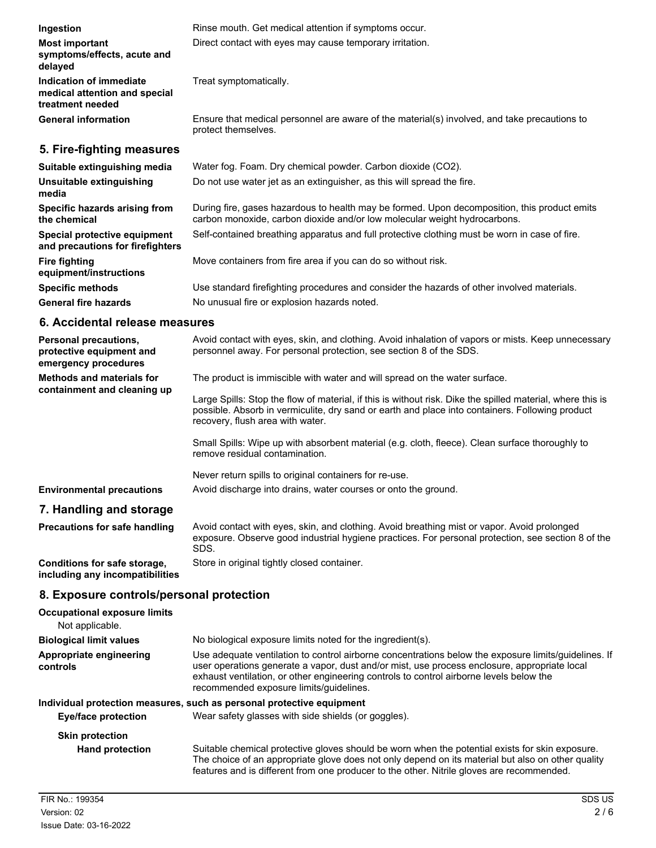| Ingestion                                                                    | Rinse mouth. Get medical attention if symptoms occur.                                                                                                                     |
|------------------------------------------------------------------------------|---------------------------------------------------------------------------------------------------------------------------------------------------------------------------|
| <b>Most important</b><br>symptoms/effects, acute and<br>delayed              | Direct contact with eyes may cause temporary irritation.                                                                                                                  |
| Indication of immediate<br>medical attention and special<br>treatment needed | Treat symptomatically.                                                                                                                                                    |
| <b>General information</b>                                                   | Ensure that medical personnel are aware of the material(s) involved, and take precautions to<br>protect themselves.                                                       |
| 5. Fire-fighting measures                                                    |                                                                                                                                                                           |
| Suitable extinguishing media                                                 | Water fog. Foam. Dry chemical powder. Carbon dioxide (CO2).                                                                                                               |
| Unsuitable extinguishing<br>media                                            | Do not use water jet as an extinguisher, as this will spread the fire.                                                                                                    |
| Specific hazards arising from<br>the chemical                                | During fire, gases hazardous to health may be formed. Upon decomposition, this product emits<br>carbon monoxide, carbon dioxide and/or low molecular weight hydrocarbons. |
| Special protective equipment<br>and precautions for firefighters             | Self-contained breathing apparatus and full protective clothing must be worn in case of fire.                                                                             |
| <b>Fire fighting</b><br>equipment/instructions                               | Move containers from fire area if you can do so without risk.                                                                                                             |
| <b>Specific methods</b>                                                      | Use standard firefighting procedures and consider the hazards of other involved materials.                                                                                |

#### **6. Accidental release measures**

General fire hazards **No unusual fire or explosion hazards noted.** 

| <b>Personal precautions,</b><br>protective equipment and<br>emergency procedures | Avoid contact with eyes, skin, and clothing. Avoid inhalation of vapors or mists. Keep unnecessary<br>personnel away. For personal protection, see section 8 of the SDS.                                                                          |
|----------------------------------------------------------------------------------|---------------------------------------------------------------------------------------------------------------------------------------------------------------------------------------------------------------------------------------------------|
| <b>Methods and materials for</b><br>containment and cleaning up                  | The product is immiscible with water and will spread on the water surface.                                                                                                                                                                        |
|                                                                                  | Large Spills: Stop the flow of material, if this is without risk. Dike the spilled material, where this is<br>possible. Absorb in vermiculite, dry sand or earth and place into containers. Following product<br>recovery, flush area with water. |
|                                                                                  | Small Spills: Wipe up with absorbent material (e.g. cloth, fleece). Clean surface thoroughly to<br>remove residual contamination.                                                                                                                 |
|                                                                                  | Never return spills to original containers for re-use.                                                                                                                                                                                            |
| <b>Environmental precautions</b>                                                 | Avoid discharge into drains, water courses or onto the ground.                                                                                                                                                                                    |

## **7. Handling and storage**

| <b>Precautions for safe handling</b> | Avoid contact with eyes, skin, and clothing. Avoid breathing mist or vapor. Avoid prolonged<br>exposure. Observe good industrial hygiene practices. For personal protection, see section 8 of the<br>SDS. |
|--------------------------------------|-----------------------------------------------------------------------------------------------------------------------------------------------------------------------------------------------------------|
| Conditions for safe storage.         | Store in original tightly closed container.                                                                                                                                                               |

**including any incompatibilities**

### **8. Exposure controls/personal protection**

| <b>Occupational exposure limits</b><br>Not applicable.                                                                                                                                                                                                                                                                                                                            |                                                                                                                                                                                                                                                                                                   |  |  |
|-----------------------------------------------------------------------------------------------------------------------------------------------------------------------------------------------------------------------------------------------------------------------------------------------------------------------------------------------------------------------------------|---------------------------------------------------------------------------------------------------------------------------------------------------------------------------------------------------------------------------------------------------------------------------------------------------|--|--|
| <b>Biological limit values</b>                                                                                                                                                                                                                                                                                                                                                    | No biological exposure limits noted for the ingredient(s).                                                                                                                                                                                                                                        |  |  |
| Use adequate ventilation to control airborne concentrations below the exposure limits/quidelines. If<br>Appropriate engineering<br>user operations generate a vapor, dust and/or mist, use process enclosure, appropriate local<br>controls<br>exhaust ventilation, or other engineering controls to control airborne levels below the<br>recommended exposure limits/guidelines. |                                                                                                                                                                                                                                                                                                   |  |  |
|                                                                                                                                                                                                                                                                                                                                                                                   | Individual protection measures, such as personal protective equipment                                                                                                                                                                                                                             |  |  |
| <b>Eye/face protection</b>                                                                                                                                                                                                                                                                                                                                                        | Wear safety glasses with side shields (or goggles).                                                                                                                                                                                                                                               |  |  |
| <b>Skin protection</b><br><b>Hand protection</b>                                                                                                                                                                                                                                                                                                                                  | Suitable chemical protective gloves should be worn when the potential exists for skin exposure.<br>The choice of an appropriate glove does not only depend on its material but also on other quality<br>features and is different from one producer to the other. Nitrile gloves are recommended. |  |  |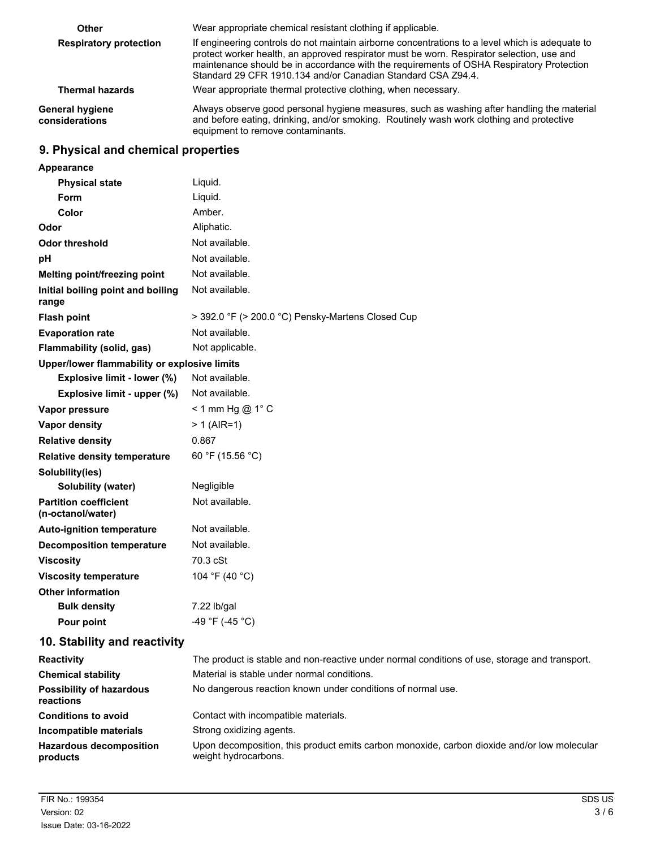| <b>Other</b>                             | Wear appropriate chemical resistant clothing if applicable.                                                                                                                                                                                                                                                                                              |  |  |  |  |
|------------------------------------------|----------------------------------------------------------------------------------------------------------------------------------------------------------------------------------------------------------------------------------------------------------------------------------------------------------------------------------------------------------|--|--|--|--|
| <b>Respiratory protection</b>            | If engineering controls do not maintain airborne concentrations to a level which is adequate to<br>protect worker health, an approved respirator must be worn. Respirator selection, use and<br>maintenance should be in accordance with the requirements of OSHA Respiratory Protection<br>Standard 29 CFR 1910.134 and/or Canadian Standard CSA Z94.4. |  |  |  |  |
| <b>Thermal hazards</b>                   | Wear appropriate thermal protective clothing, when necessary.                                                                                                                                                                                                                                                                                            |  |  |  |  |
| <b>General hygiene</b><br>considerations | Always observe good personal hygiene measures, such as washing after handling the material<br>and before eating, drinking, and/or smoking. Routinely wash work clothing and protective<br>equipment to remove contaminants.                                                                                                                              |  |  |  |  |

# **9. Physical and chemical properties**

| Appearance                                        |                                                                                               |
|---------------------------------------------------|-----------------------------------------------------------------------------------------------|
| <b>Physical state</b>                             | Liquid.                                                                                       |
| Form                                              | Liquid.                                                                                       |
| Color                                             | Amber.                                                                                        |
| Odor                                              | Aliphatic.                                                                                    |
| <b>Odor threshold</b>                             | Not available.                                                                                |
| рH                                                | Not available.                                                                                |
| Melting point/freezing point                      | Not available.                                                                                |
| Initial boiling point and boiling<br>range        | Not available.                                                                                |
| <b>Flash point</b>                                | > 392.0 °F (> 200.0 °C) Pensky-Martens Closed Cup                                             |
| <b>Evaporation rate</b>                           | Not available.                                                                                |
| Flammability (solid, gas)                         | Not applicable.                                                                               |
| Upper/lower flammability or explosive limits      |                                                                                               |
| Explosive limit - lower (%)                       | Not available.                                                                                |
| Explosive limit - upper (%)                       | Not available.                                                                                |
| Vapor pressure                                    | < 1 mm Hg @ $1^{\circ}$ C                                                                     |
| Vapor density                                     | $> 1$ (AIR=1)                                                                                 |
| <b>Relative density</b>                           | 0.867                                                                                         |
| <b>Relative density temperature</b>               | 60 °F (15.56 °C)                                                                              |
| Solubility(ies)                                   |                                                                                               |
| Solubility (water)                                | Negligible                                                                                    |
| <b>Partition coefficient</b><br>(n-octanol/water) | Not available.                                                                                |
| <b>Auto-ignition temperature</b>                  | Not available.                                                                                |
| <b>Decomposition temperature</b>                  | Not available.                                                                                |
| <b>Viscosity</b>                                  | 70.3 cSt                                                                                      |
| <b>Viscosity temperature</b>                      | 104 °F (40 °C)                                                                                |
| <b>Other information</b>                          |                                                                                               |
| <b>Bulk density</b>                               | 7.22 lb/gal                                                                                   |
| Pour point                                        | -49 °F (-45 °C)                                                                               |
| 10. Stability and reactivity                      |                                                                                               |
| <b>Reactivity</b>                                 | The product is stable and non-reactive under normal conditions of use, storage and transport. |
| <b>Chemical stability</b>                         | Material is stable under normal conditions.                                                   |
| <b>Possibility of hazardous</b><br>reactions      | No dangerous reaction known under conditions of normal use.                                   |
| <b>Conditions to avoid</b>                        | Contact with incompatible materials.                                                          |
| Incompatible materials                            | Strong oxidizing agents.                                                                      |
|                                                   |                                                                                               |

Upon decomposition, this product emits carbon monoxide, carbon dioxide and/or low molecular weight hydrocarbons. **Hazardous decomposition products**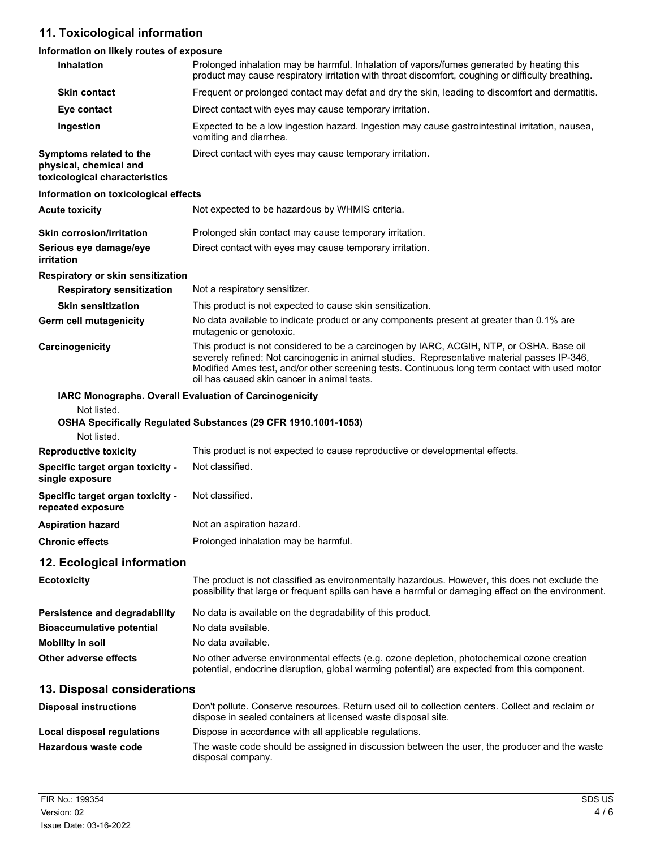# **11. Toxicological information**

## **Information on likely routes of exposure**

| Inhalation                                                                         | Prolonged inhalation may be harmful. Inhalation of vapors/fumes generated by heating this<br>product may cause respiratory irritation with throat discomfort, coughing or difficulty breathing.                                                                                                                                           |  |  |  |
|------------------------------------------------------------------------------------|-------------------------------------------------------------------------------------------------------------------------------------------------------------------------------------------------------------------------------------------------------------------------------------------------------------------------------------------|--|--|--|
| <b>Skin contact</b>                                                                | Frequent or prolonged contact may defat and dry the skin, leading to discomfort and dermatitis.                                                                                                                                                                                                                                           |  |  |  |
| Eye contact                                                                        | Direct contact with eyes may cause temporary irritation.                                                                                                                                                                                                                                                                                  |  |  |  |
| Ingestion                                                                          | Expected to be a low ingestion hazard. Ingestion may cause gastrointestinal irritation, nausea,<br>vomiting and diarrhea.                                                                                                                                                                                                                 |  |  |  |
| Symptoms related to the<br>physical, chemical and<br>toxicological characteristics | Direct contact with eyes may cause temporary irritation.                                                                                                                                                                                                                                                                                  |  |  |  |
| Information on toxicological effects                                               |                                                                                                                                                                                                                                                                                                                                           |  |  |  |
| <b>Acute toxicity</b>                                                              | Not expected to be hazardous by WHMIS criteria.                                                                                                                                                                                                                                                                                           |  |  |  |
| <b>Skin corrosion/irritation</b>                                                   | Prolonged skin contact may cause temporary irritation.                                                                                                                                                                                                                                                                                    |  |  |  |
| Serious eye damage/eye<br><i>irritation</i>                                        | Direct contact with eyes may cause temporary irritation.                                                                                                                                                                                                                                                                                  |  |  |  |
| Respiratory or skin sensitization                                                  |                                                                                                                                                                                                                                                                                                                                           |  |  |  |
| <b>Respiratory sensitization</b>                                                   | Not a respiratory sensitizer.                                                                                                                                                                                                                                                                                                             |  |  |  |
| <b>Skin sensitization</b>                                                          | This product is not expected to cause skin sensitization.                                                                                                                                                                                                                                                                                 |  |  |  |
| Germ cell mutagenicity                                                             | No data available to indicate product or any components present at greater than 0.1% are<br>mutagenic or genotoxic.                                                                                                                                                                                                                       |  |  |  |
| Carcinogenicity                                                                    | This product is not considered to be a carcinogen by IARC, ACGIH, NTP, or OSHA. Base oil<br>severely refined: Not carcinogenic in animal studies. Representative material passes IP-346,<br>Modified Ames test, and/or other screening tests. Continuous long term contact with used motor<br>oil has caused skin cancer in animal tests. |  |  |  |
| Not listed.<br>Not listed.                                                         | <b>IARC Monographs. Overall Evaluation of Carcinogenicity</b><br>OSHA Specifically Regulated Substances (29 CFR 1910.1001-1053)                                                                                                                                                                                                           |  |  |  |
| <b>Reproductive toxicity</b>                                                       | This product is not expected to cause reproductive or developmental effects.                                                                                                                                                                                                                                                              |  |  |  |
| Specific target organ toxicity -<br>single exposure                                | Not classified.                                                                                                                                                                                                                                                                                                                           |  |  |  |
| Specific target organ toxicity -<br>repeated exposure                              | Not classified.                                                                                                                                                                                                                                                                                                                           |  |  |  |
| <b>Aspiration hazard</b>                                                           | Not an aspiration hazard.                                                                                                                                                                                                                                                                                                                 |  |  |  |
| <b>Chronic effects</b>                                                             | Prolonged inhalation may be harmful.                                                                                                                                                                                                                                                                                                      |  |  |  |
| 12. Ecological information                                                         |                                                                                                                                                                                                                                                                                                                                           |  |  |  |
| <b>Ecotoxicity</b>                                                                 | The product is not classified as environmentally hazardous. However, this does not exclude the<br>possibility that large or frequent spills can have a harmful or damaging effect on the environment.                                                                                                                                     |  |  |  |
| <b>Persistence and degradability</b>                                               | No data is available on the degradability of this product.                                                                                                                                                                                                                                                                                |  |  |  |
| <b>Bioaccumulative potential</b>                                                   | No data available.                                                                                                                                                                                                                                                                                                                        |  |  |  |
| <b>Mobility in soil</b>                                                            | No data available.                                                                                                                                                                                                                                                                                                                        |  |  |  |
| Other adverse effects                                                              | No other adverse environmental effects (e.g. ozone depletion, photochemical ozone creation<br>potential, endocrine disruption, global warming potential) are expected from this component.                                                                                                                                                |  |  |  |
| 13. Disposal considerations                                                        |                                                                                                                                                                                                                                                                                                                                           |  |  |  |
| <b>Disposal instructions</b>                                                       | Don't pollute. Conserve resources. Return used oil to collection centers. Collect and reclaim or<br>dispose in sealed containers at licensed waste disposal site.                                                                                                                                                                         |  |  |  |
| <b>Local disposal regulations</b>                                                  | Dispose in accordance with all applicable regulations.                                                                                                                                                                                                                                                                                    |  |  |  |
| Hazardous waste code                                                               | The waste code should be assigned in discussion between the user, the producer and the waste                                                                                                                                                                                                                                              |  |  |  |
|                                                                                    | disposal company.                                                                                                                                                                                                                                                                                                                         |  |  |  |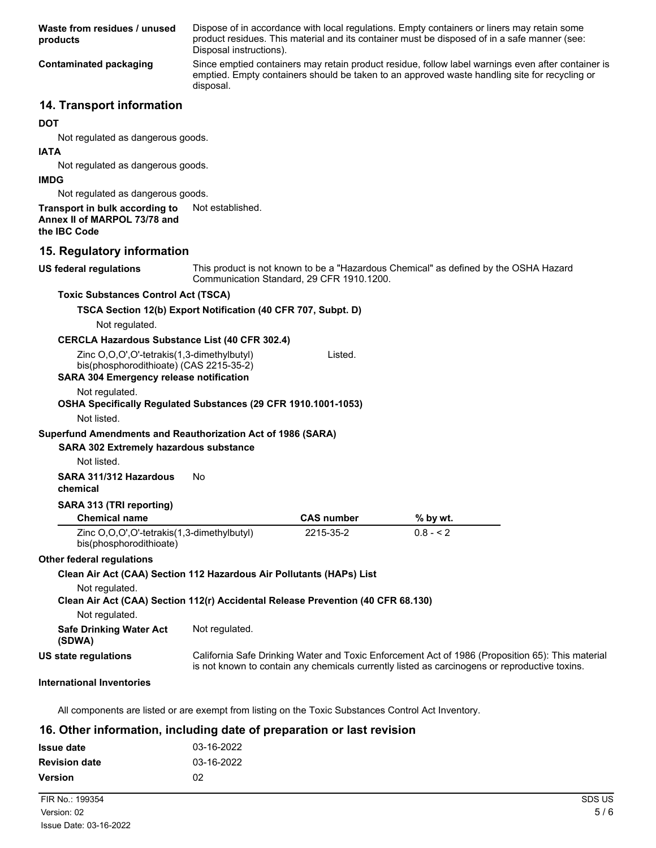| Waste from residues / unused<br>products                                                                                                | Disposal instructions).                                        |                   | Dispose of in accordance with local regulations. Empty containers or liners may retain some<br>product residues. This material and its container must be disposed of in a safe manner (see:         |  |
|-----------------------------------------------------------------------------------------------------------------------------------------|----------------------------------------------------------------|-------------------|-----------------------------------------------------------------------------------------------------------------------------------------------------------------------------------------------------|--|
| <b>Contaminated packaging</b>                                                                                                           | disposal.                                                      |                   | Since emptied containers may retain product residue, follow label warnings even after container is<br>emptied. Empty containers should be taken to an approved waste handling site for recycling or |  |
| 14. Transport information                                                                                                               |                                                                |                   |                                                                                                                                                                                                     |  |
| <b>DOT</b>                                                                                                                              |                                                                |                   |                                                                                                                                                                                                     |  |
| Not regulated as dangerous goods.                                                                                                       |                                                                |                   |                                                                                                                                                                                                     |  |
| <b>IATA</b>                                                                                                                             |                                                                |                   |                                                                                                                                                                                                     |  |
| Not regulated as dangerous goods.                                                                                                       |                                                                |                   |                                                                                                                                                                                                     |  |
| <b>IMDG</b>                                                                                                                             |                                                                |                   |                                                                                                                                                                                                     |  |
| Not regulated as dangerous goods.                                                                                                       |                                                                |                   |                                                                                                                                                                                                     |  |
| Transport in bulk according to<br>Annex II of MARPOL 73/78 and<br>the IBC Code                                                          | Not established.                                               |                   |                                                                                                                                                                                                     |  |
| 15. Regulatory information                                                                                                              |                                                                |                   |                                                                                                                                                                                                     |  |
| <b>US federal regulations</b>                                                                                                           |                                                                |                   | This product is not known to be a "Hazardous Chemical" as defined by the OSHA Hazard                                                                                                                |  |
|                                                                                                                                         | Communication Standard, 29 CFR 1910.1200.                      |                   |                                                                                                                                                                                                     |  |
| <b>Toxic Substances Control Act (TSCA)</b>                                                                                              |                                                                |                   |                                                                                                                                                                                                     |  |
| TSCA Section 12(b) Export Notification (40 CFR 707, Subpt. D)<br>Not regulated.                                                         |                                                                |                   |                                                                                                                                                                                                     |  |
| <b>CERCLA Hazardous Substance List (40 CFR 302.4)</b>                                                                                   |                                                                |                   |                                                                                                                                                                                                     |  |
| Zinc O,O,O',O'-tetrakis(1,3-dimethylbutyl)<br>bis(phosphorodithioate) (CAS 2215-35-2)<br><b>SARA 304 Emergency release notification</b> |                                                                | Listed.           |                                                                                                                                                                                                     |  |
| Not regulated.                                                                                                                          | OSHA Specifically Regulated Substances (29 CFR 1910.1001-1053) |                   |                                                                                                                                                                                                     |  |
| Not listed.                                                                                                                             |                                                                |                   |                                                                                                                                                                                                     |  |
| Superfund Amendments and Reauthorization Act of 1986 (SARA)<br><b>SARA 302 Extremely hazardous substance</b>                            |                                                                |                   |                                                                                                                                                                                                     |  |
| Not listed.                                                                                                                             |                                                                |                   |                                                                                                                                                                                                     |  |
| SARA 311/312 Hazardous<br>chemical                                                                                                      | No                                                             |                   |                                                                                                                                                                                                     |  |
| SARA 313 (TRI reporting)                                                                                                                |                                                                |                   |                                                                                                                                                                                                     |  |
| <b>Chemical name</b>                                                                                                                    |                                                                | <b>CAS number</b> | % by wt.                                                                                                                                                                                            |  |
| Zinc O,O,O',O'-tetrakis(1,3-dimethylbutyl)<br>bis(phosphorodithioate)                                                                   |                                                                | 2215-35-2         | $0.8 - 2$                                                                                                                                                                                           |  |
| <b>Other federal regulations</b>                                                                                                        |                                                                |                   |                                                                                                                                                                                                     |  |
| Clean Air Act (CAA) Section 112 Hazardous Air Pollutants (HAPs) List                                                                    |                                                                |                   |                                                                                                                                                                                                     |  |
| Not regulated.                                                                                                                          |                                                                |                   |                                                                                                                                                                                                     |  |

| Clean Air Act (CAA) Section 112(r) Accidental Release Prevention (40 CFR 68.130) |  |
|----------------------------------------------------------------------------------|--|
| Not regulated.                                                                   |  |

| <b>Safe Drinking Water Act</b><br>(SDWA) | Not regulated.                       |
|------------------------------------------|--------------------------------------|
| US state regulations                     | California Safe Drinking Water and T |

California Safe Drinking Water and Toxic Enforcement Act of 1986 (Proposition 65): This material is not known to contain any chemicals currently listed as carcinogens or reproductive toxins.

#### **International Inventories**

All components are listed or are exempt from listing on the Toxic Substances Control Act Inventory.

#### **16. Other information, including date of preparation or last revision**

| <b>Issue date</b>    | 03-16-2022 |
|----------------------|------------|
| <b>Revision date</b> | 03-16-2022 |
| <b>Version</b>       | 02         |